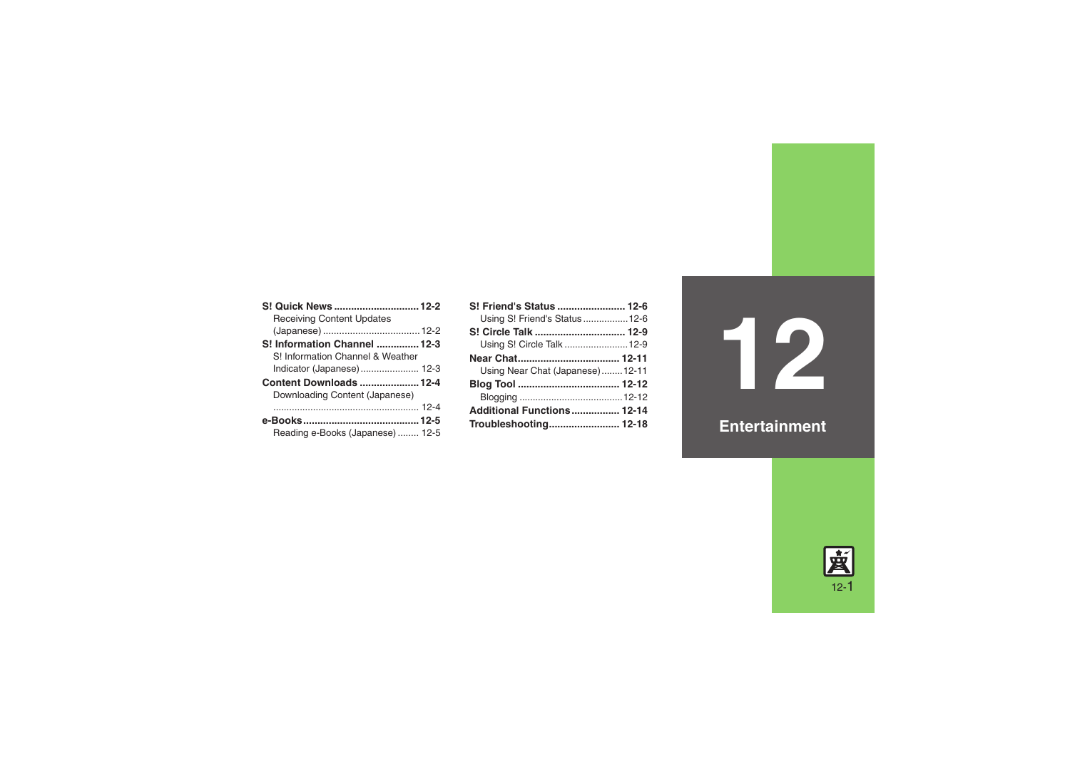| S! Quick News  12-2              |  |
|----------------------------------|--|
| <b>Receiving Content Updates</b> |  |
|                                  |  |
| S! Information Channel  12-3     |  |
| S! Information Channel & Weather |  |
| Indicator (Japanese)  12-3       |  |
| <b>Content Downloads  12-4</b>   |  |
| Downloading Content (Japanese)   |  |
|                                  |  |
|                                  |  |
| Reading e-Books (Japanese) 12-5  |  |

| S! Friend's Status  12-6        |  |
|---------------------------------|--|
| Using S! Friend's Status12-6    |  |
|                                 |  |
| Using S! Circle Talk  12-9      |  |
| Near Chat 12-11                 |  |
| Using Near Chat (Japanese)12-11 |  |
|                                 |  |
|                                 |  |
| Additional Functions 12-14      |  |
| Troubleshooting 12-18           |  |

**12**

**Entertainment**

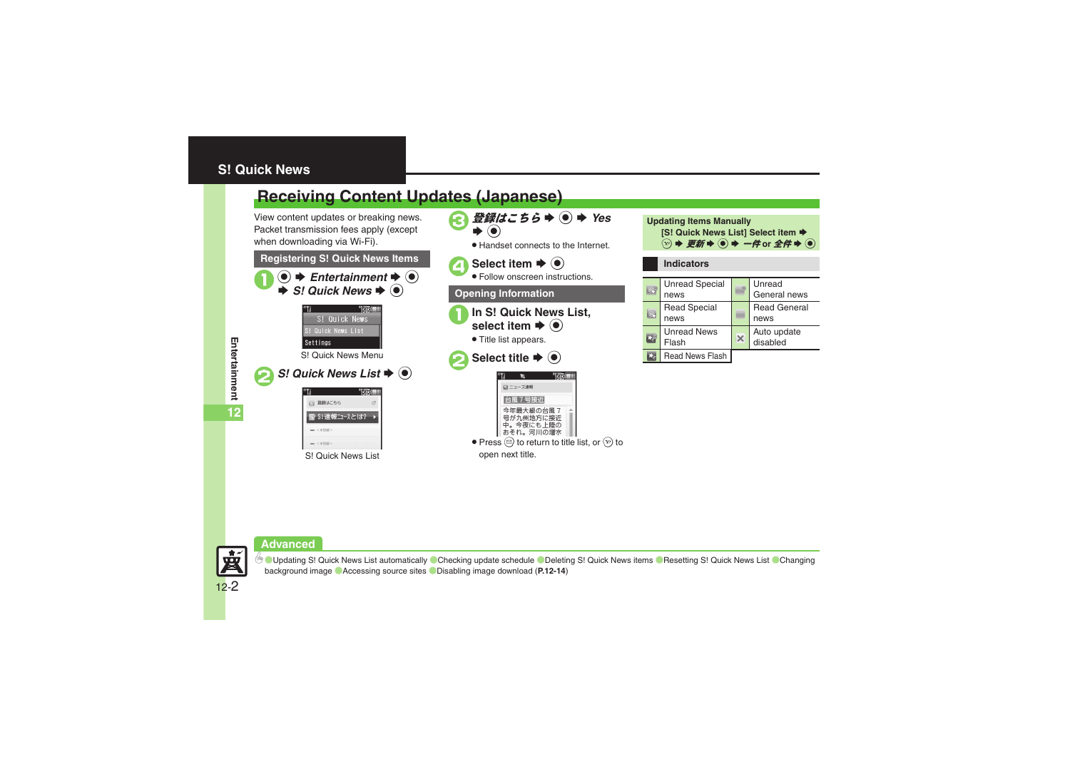## <span id="page-1-0"></span>**S! Quick News**

# <span id="page-1-1"></span>**Receiving Content Updates (Japanese)**

View content updates or breaking news. Packet transmission fees apply (except when downloading via Wi-Fi).



S! Quick News List

<主答録)

 $=$  <<<br/> $\overline{ABB}$ 



**Updating Items Manually [S! Quick News List] Select item**  $\blacktriangleright$  $\textcircled{\tiny{\textcircled{\tiny{\#}}}} \Rightarrow \textcircled{\tiny{\textcircled{\tiny{\#}}}} \Rightarrow \textcircled{\tiny{\textcircled{\tiny{\#}}}} \Rightarrow \textcircled{\tiny{\textcircled{\tiny{\dag}}}} \Rightarrow \textcircled{\tiny{\textcircled{\tiny{\dag}}}}$ 

#### **Indicators**

| <b>SG</b> | <b>Unread Special</b><br>news | Unread<br>General news      |
|-----------|-------------------------------|-----------------------------|
|           | <b>Read Special</b><br>news   | <b>Read General</b><br>news |
|           | <b>Unread News</b><br>Flash   | Auto update<br>disabled     |
|           | Read News Flash               |                             |

**Advanced**



**<sup>** $\otimes$ **</sup> Updating S! [Quick News List automatically](#page-13-1) [Checking update schedule](#page-13-2) CDeleting S! [Quick News items](#page-13-3) CResetting S! [Quick News List](#page-13-4) Changing** [background image](#page-13-5) ([Accessing source sites](#page-13-6) ([Disabling image download](#page-13-7) (**[P.12-14](#page-13-1)**)

**Entertainment Entertainment**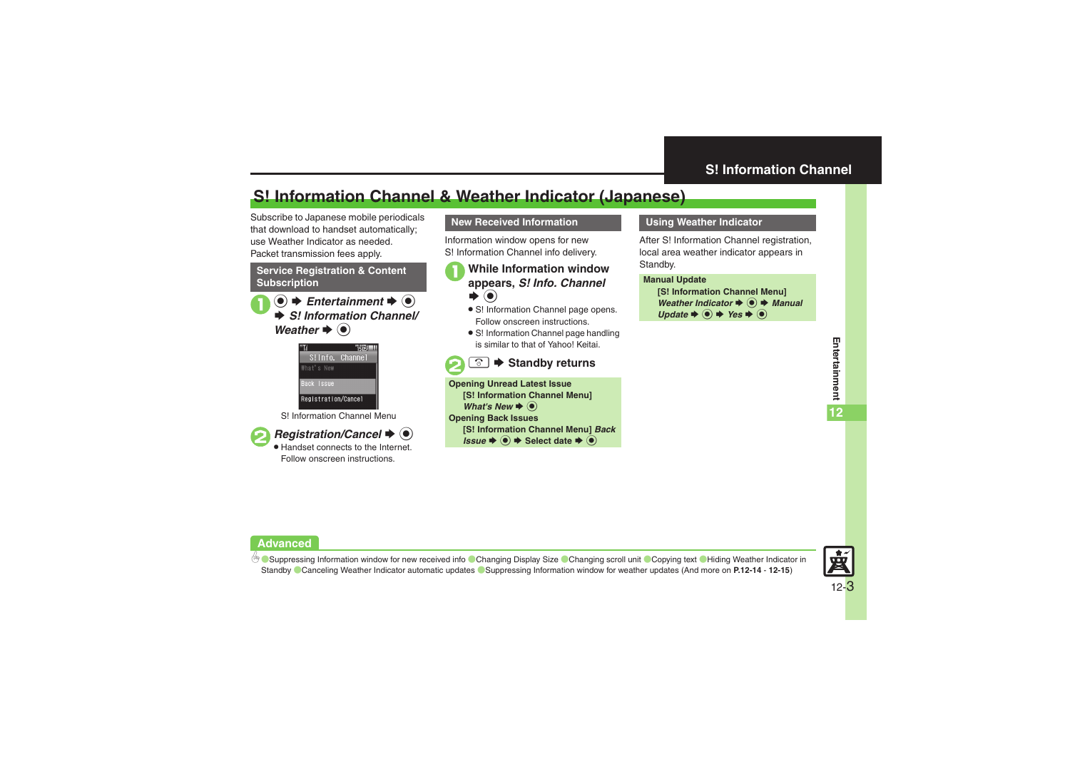### <span id="page-2-1"></span>**S! Information Channel**

# <span id="page-2-0"></span>**S! Information Channel & Weather Indicator (Japanese)**

Subscribe to Japanese mobile periodicals that download to handset automatically; use Weather Indicator as needed.Packet transmission fees apply.

#### **Service Registration & Content Subscription**

 $\textcircled{\textbullet}$   $\blacktriangleright$  *Entertainment*  $\blacktriangleright$   $\textcircled{\textbullet}$ **→ S! Information Channel/** *Weather* ♦ ⊙



S! Information Channel Menu



 $\mathbf 0$ 

**2***Registration/Cancel* ♦ ● . Handset connects to the Internet.

Follow onscreen instructions.

### **New Received Information**

Information window opens for new S! Information Channel info delivery.

# <sup>1</sup>**While Information window appears,** *S! Info. Channel*  $\blacktriangleright$   $\textcircled{\scriptsize{}}$

- S! Information Channel page opens. Follow onscreen instructions.
- S! Information Channel page handling is similar to that of Yahoo! Keitai.



**Opening Unread Latest Issue [S! Information Channel Menu]**  *What's New* ♦ ⊙ **Opening Back Issues [S! Information Channel Menu]** *Back Issue*  $\blacktriangleright$  **⑨**  $\blacktriangleright$  Select date  $\blacktriangleright$  **◉** 

#### **Using Weather Indicator**

After S! Information Channel registration. local area weather indicator appears in Standby.

#### **Manual Update**

**[S! Information Channel Menu]**  *Weather Indicator*  $\blacklozenge$  **●** *Manual*  $Update \rightarrow \textcircled{\textcirc} \rightarrow Yes \rightarrow \textcircled{\textcirc}$ 

#### **Advanced**

b ■[Suppressing Information window for new received info](#page-13-8) ■[Changing Display Size](#page-13-9) ■[Changing scroll unit](#page-13-10) ■[Copying text](#page-14-0) ■Hiding Weather Indicator in [Standby](#page-14-1) ([Canceling Weather Indicator automatic updates](#page-14-2)  ([Suppressing Information window for weather updates](#page-14-3) (And more on **[P.12-14](#page-13-8)** - **[12-15](#page-14-3)**)

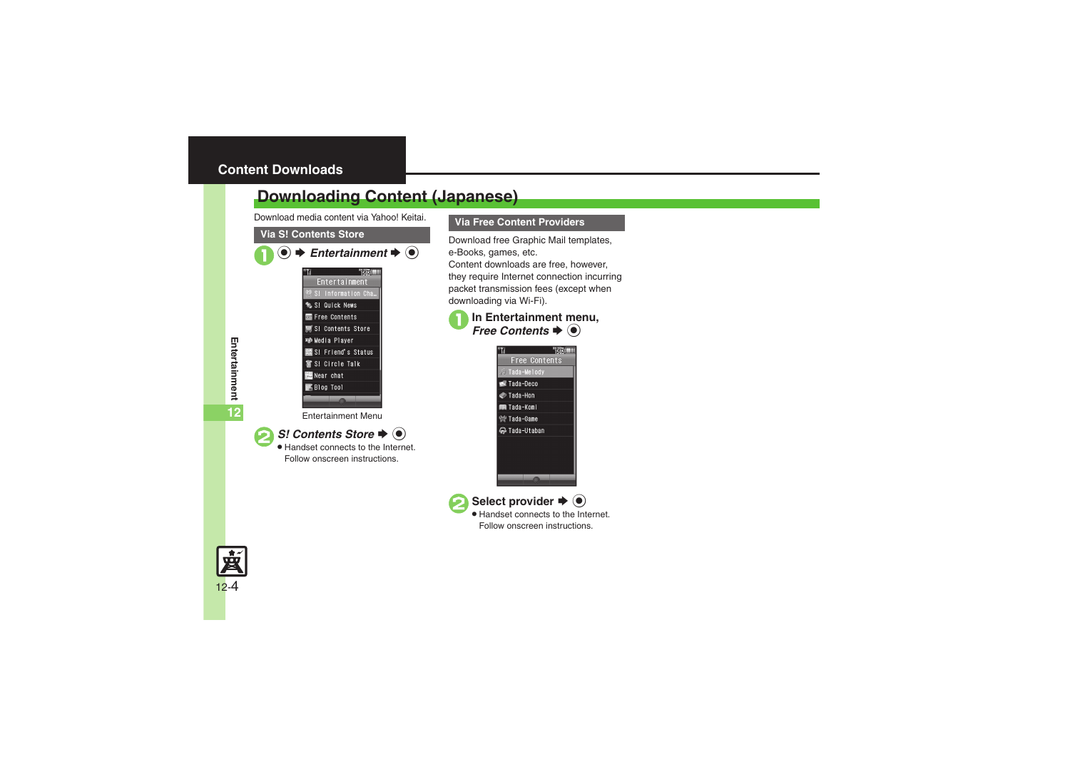# <span id="page-3-1"></span><span id="page-3-0"></span>**Downloading Content (Japanese)**

Download media content via Yahoo! Keitai.

#### **Via S! Contents Store**

| $\blacktriangleright$ Entertainment $\blacktriangleright$ ( $\blacklozenge$ ) |  |  |
|-------------------------------------------------------------------------------|--|--|
|                                                                               |  |  |
| <b>Entertainment</b>                                                          |  |  |
| 戀 S! Information Cha…                                                         |  |  |
| S! Quick News                                                                 |  |  |
| Free Contents                                                                 |  |  |
| ■ S! Contents Store                                                           |  |  |
| <b>■ Media Player</b>                                                         |  |  |
| 龗 S! Friend's Status                                                          |  |  |
| 奮 S! Circle Talk                                                              |  |  |
| <b>Real Near chat</b>                                                         |  |  |
| <b>K</b> Blog Tool                                                            |  |  |
|                                                                               |  |  |

Entertainment Menu

*S!* Contents Store ♦  $\odot$ 

 Handset connects to the Internet. Follow onscreen instructions.



Download free Graphic Mail templates, e-Books, games, etc. Content downloads are free, however, they require Internet connection incurring packet transmission fees (except when downloading via Wi-Fi).







12-4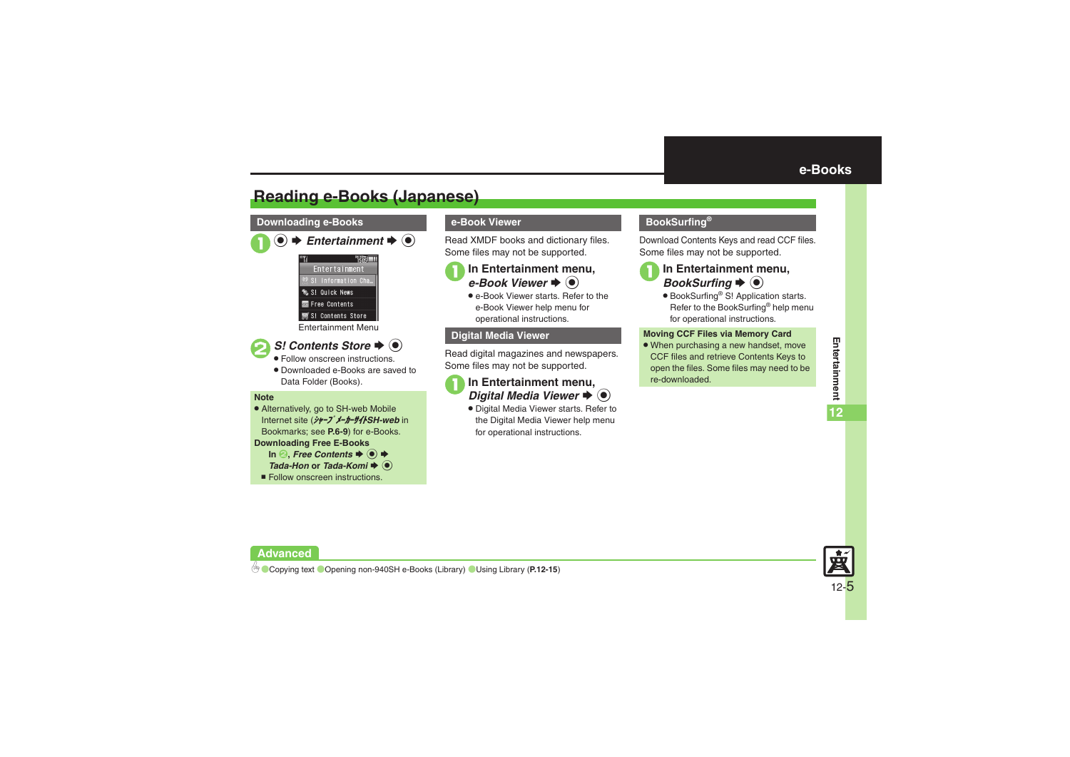# <span id="page-4-1"></span>**Reading e-Books (Japanese)**

#### **Downloading e-Books**

| $\bullet$ $\bullet$ Entertainment $\bullet$ $\bullet$ |  |
|-------------------------------------------------------|--|
| Entertainment                                         |  |
|                                                       |  |

S! Information Cha % S! Quick News

圖 Free Contents

#### S! Contents Store

Entertainment Menu



- Follow onscreen instructions.
- . Downloaded e-Books are saved to Data Folder (Books).

#### **Note**

. Alternatively, go to SH-web Mobile Internet site (シャープメーカーサイト*SH-web* in Bookmarks; see **P.6-9**) for e-Books.

#### **Downloading Free E-Books**

 $\ln \Theta$ , Free Contents  $\Rightarrow$   $\Theta$   $\Rightarrow$ 

- *Tada-Hon* or *Tada-Komi* ♦ ●
- **Follow onscreen instructions.**

### **e-Book Viewer**

Read XMDF books and dictionary files. Some files may not be supported.

### **In Entertainment menu,** r $\blacktriangleright$   $\odot$

• e-Book Viewer starts. Refer to the e-Book Viewer help menu for operational instructions.

#### **Digital Media Viewer**

Read digital magazines and newspapers. Some files may not be supported.

# **In Entertainment menu,**<br>*Digital Media Viewer* → ●

. Digital Media Viewer starts. Refer to the Digital Media Viewer help menu for operational instructions.

### <span id="page-4-0"></span>**BookSurfing®**

Download Contents Keys and read CCF files. Some files may not be supported.



# **In Entertainment menu,**<br>*BookSurfing* → ●

● BookSurfing<sup>®</sup> S! Application starts. Refer to the BookSurfing® help menu for operational instructions.

#### **Moving CCF Files via Memory Card**

• When purchasing a new handset, move CCF files and retrieve Contents Keys to open the files. Some files may need to be re-downloaded.



#### **Advanced**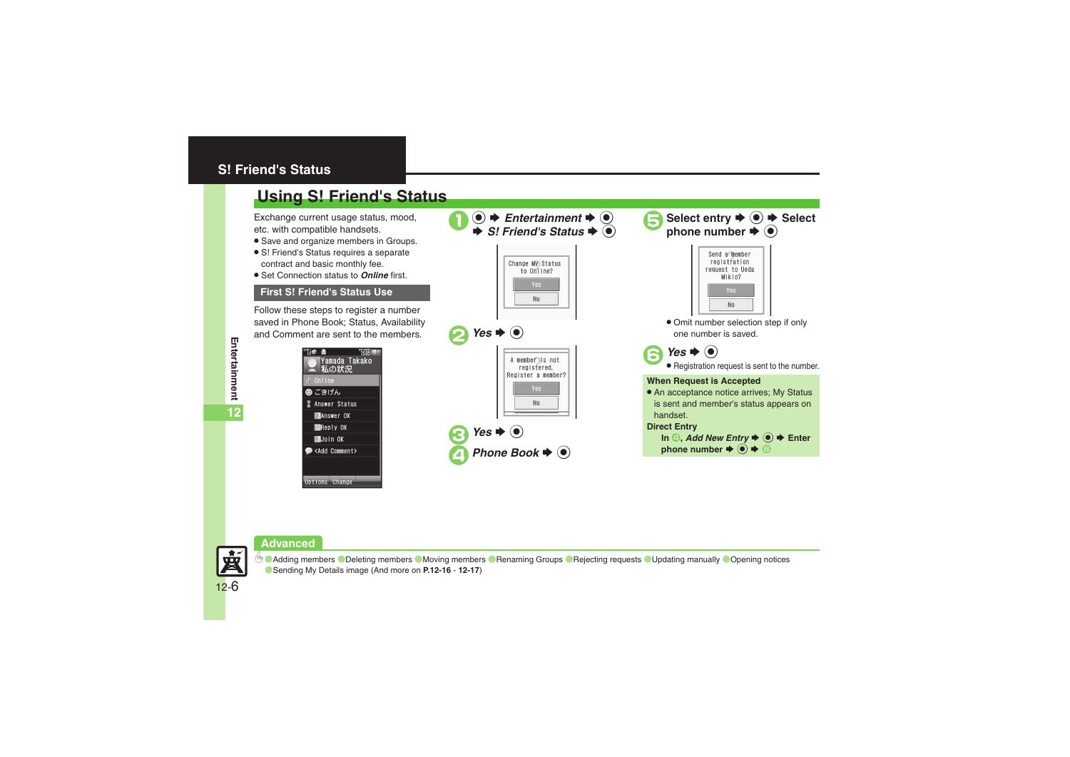### <span id="page-5-0"></span>**S! Friend's Status**

# <span id="page-5-1"></span>**Using S! Friend's Status**

Exchange current usage status, mood, etc. with compatible handsets.

- . Save and organize members in Groups.
- S! Friend's Status requires a separate contract and basic monthly fee.
- . Set Connection status to *Online* first.

### **First S! Friend's Status Use**

Follow these steps to register a number saved in Phone Book; Status, Availability and Comment are sent to the members.

| Tie<br><b>Bill</b><br>凿<br>Yamada Takako<br>私の状況 |
|--------------------------------------------------|
| ♪ Online                                         |
| ❷ ごきげん                                           |
| <b>I</b> Answer Status                           |
| <b>MANSWER OK</b>                                |
| <b>Reply OK</b>                                  |
| <b>膈Join OK</b>                                  |
| <b>Comment&gt;</b>                               |
|                                                  |
|                                                  |

| $\bullet$ $\bullet$ Entertainment $\bullet$ $\bullet$<br>$\Rightarrow$ S! Friend's Status $\Rightarrow$ $\circ$ | Select entry $\blacktriangleright$ ( $\blacklozenge$ ) $\blacktriangleright$ Select<br>phone number $\blacktriangleright$ $\circledcirc$                                                                  |
|-----------------------------------------------------------------------------------------------------------------|-----------------------------------------------------------------------------------------------------------------------------------------------------------------------------------------------------------|
| Change My Status<br>to Online?<br>Yes:<br>N <sub>0</sub>                                                        | Send a member<br>registration<br>request to Ueda<br>Mikio?<br>Yes<br>Nn                                                                                                                                   |
| Yes $\blacktriangleright$ ( $\blacktriangleright$ )                                                             | • Omit number selection step if only<br>one number is saved.                                                                                                                                              |
| A member is not<br>registered.                                                                                  | Yes $\blacktriangleright$ ( $\blacktriangleright$ )<br>· Registration request is sent to the number.                                                                                                      |
| Register a member?<br>Yes<br>N <sub>0</sub>                                                                     | <b>When Request is Accepted</b><br>• An acceptance notice arrives; My Status<br>is sent and member's status appears on<br>handset.                                                                        |
| Yes $\blacktriangleright$ ( $\blacklozenge$ )<br>Phone Book $\blacktriangleright$ ( $\bullet$ )                 | <b>Direct Entry</b><br>In $\textcircled{A}$ , Add New Entry $\blacktriangleright$ $\textcircled{e}$ $\blacktriangleright$ Enter<br>phone number $\Rightarrow$ $\circledcirc$ $\Rightarrow$ $\circledcirc$ |
|                                                                                                                 |                                                                                                                                                                                                           |

#### **Advanced**



**6** C[Adding members](#page-15-0) C[Deleting members](#page-15-1) C[Moving members](#page-15-2) C[Renaming Groups](#page-15-3) C[Rejecting requests](#page-15-4) C[Updating manually](#page-15-5) COpening notices ([Sending My Details image](#page-16-0) (And more on **[P.12-16](#page-15-0)** - **[12-17](#page-16-0)**)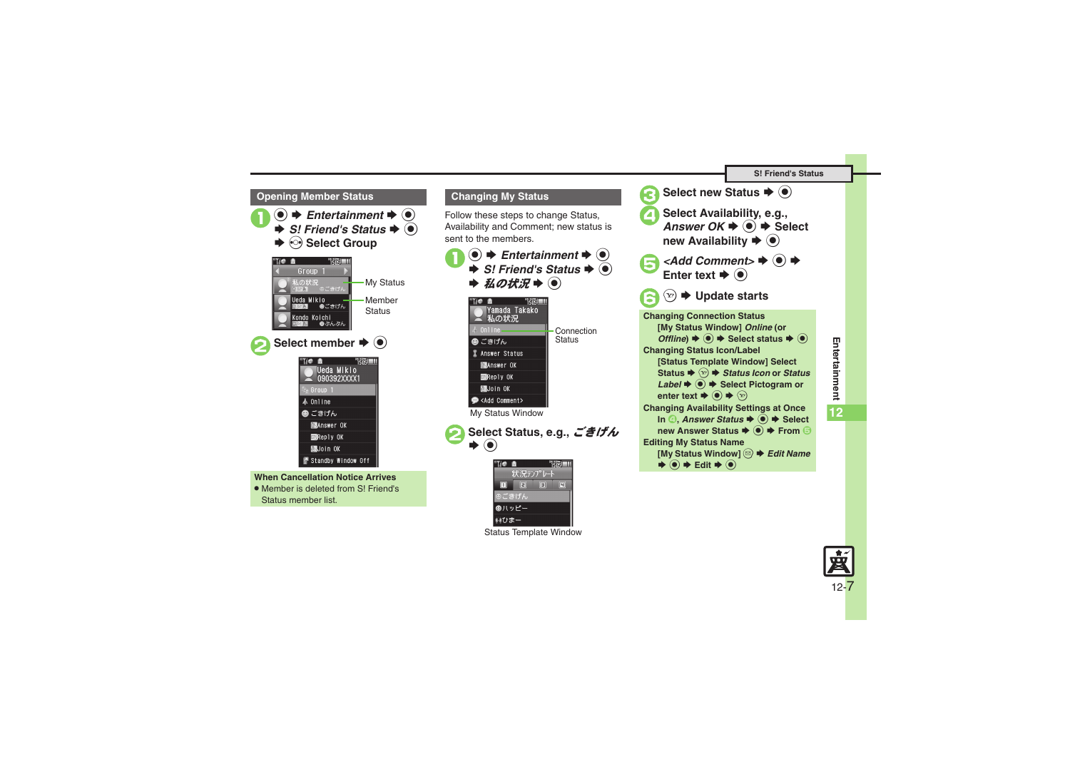

. Member is deleted from S! Friend's Status member list.

#### <span id="page-6-0"></span>**Changing My Status**

Follow these steps to change Status, Availability and Comment; new status is sent to the members.

 $\bigcirc \rightarrow$  **Entertainment**  $\Rightarrow$   $\circledcirc$ <br> $\Rightarrow$  *S!* Friend's Status  $\Rightarrow$   $\circledcirc$  $\Rightarrow \mathcal{U} \circ \mathcal{H} \mathcal{H} \Rightarrow \textcircled{\scriptsize{\bullet}}$ Til® 商 Yamada Takako ■ 私の状況 Connection**Status** ◎ ごきげん **2** Answer Status **MANSWER OK Reply OK** 圖Join OK <Add Comment> My Status Window





Status Template Window



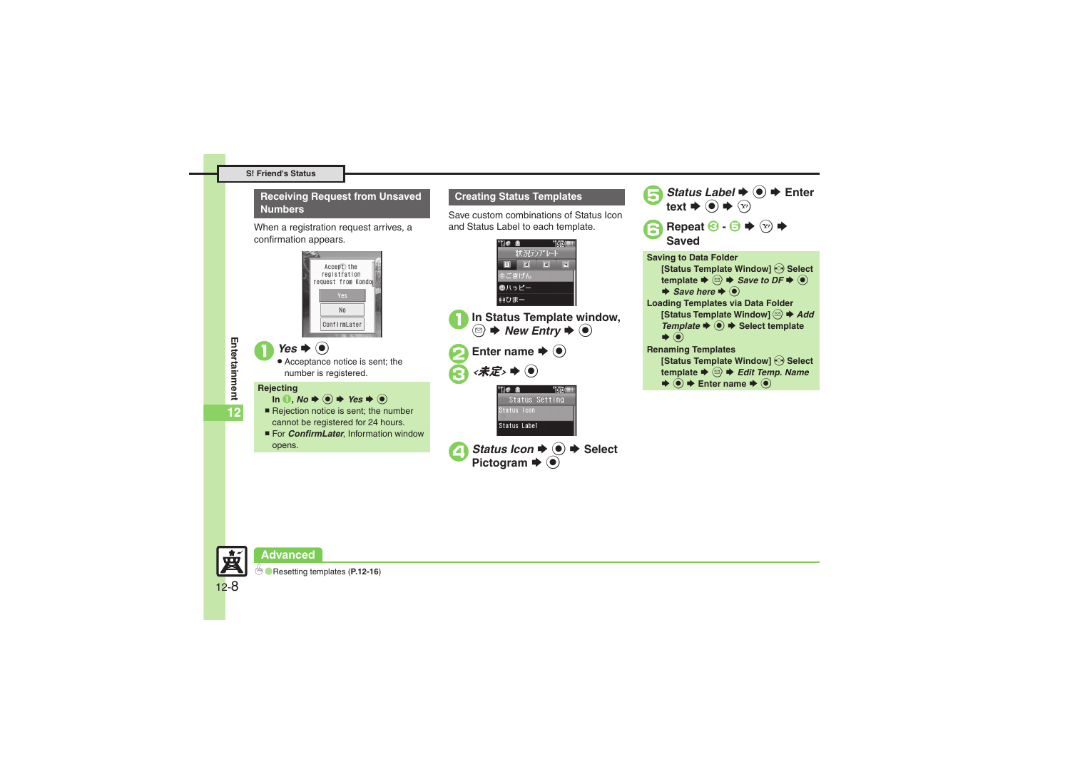#### **Receiving Request from Unsaved Numbers**

When a registration request arrives, a confirmation appears.



Save custom combinations of Status Icon and Status Label to each template.

**Creating Status Templates**

*Status Label*  $\rightarrow$  ● **Enter** 

text  $\blacktriangleright$  ( $\blacklozenge$ )  $\blacktriangleright$   $\langle \triangleright \rangle$ 

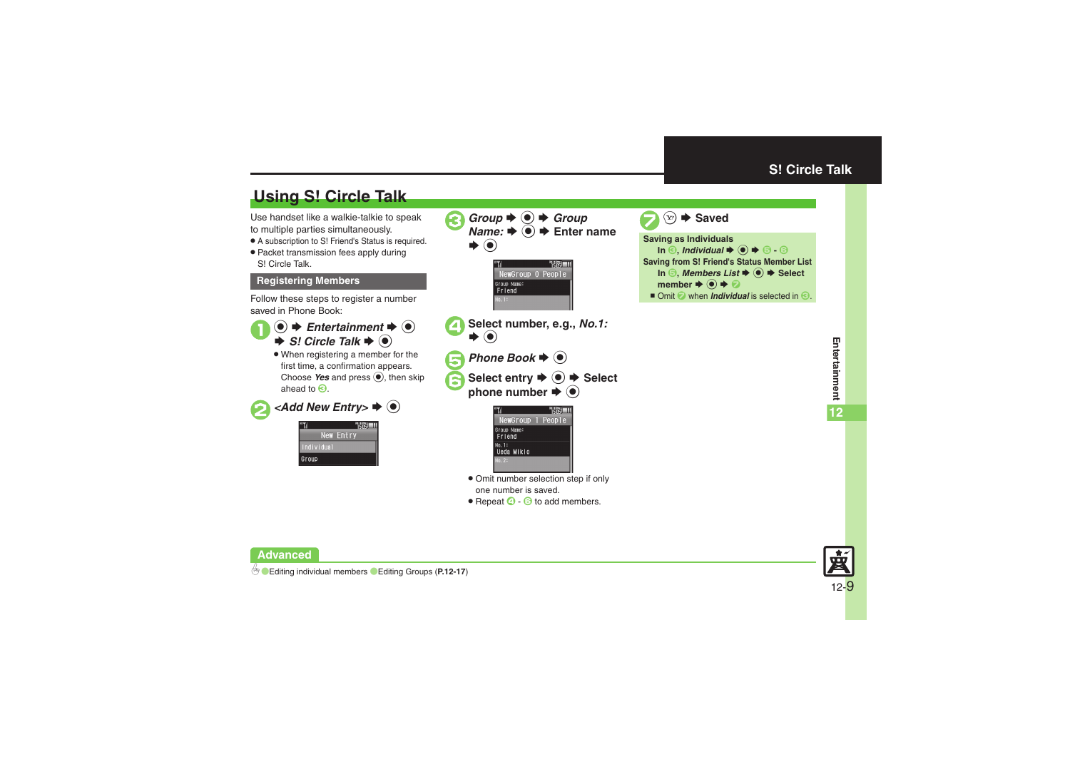# <span id="page-8-1"></span>**Using S! Circle Talk**

Use handset like a walkie-talkie to speak to multiple parties simultaneously.

- . A subscription to S! Friend's Status is required.
- . Packet transmission fees apply during S! Circle Talk.

#### **Registering Members**

Follow these steps to register a number saved in Phone Book:

- $\mathbf 0$  $\bullet$ ◆ Entertainment **◆** ●  $\Rightarrow$  *S!* Circle Talk  $\Rightarrow$   $\circledcirc$ 
	- . When registering a member for the first time, a confirmation appears. Choose Yes and press (b), then skip ahead to  $\bm{\Theta}$ .

**2** <Add New Entry> ♦ ●

|            | <b><i>POXEMA</i></b> |  |
|------------|----------------------|--|
|            | New Entry            |  |
| Individual |                      |  |
| Group      |                      |  |



one number is saved.

• Repeat  $\bigcirc$  -  $\bigcirc$  to add members.

<span id="page-8-0"></span>



**Advanced**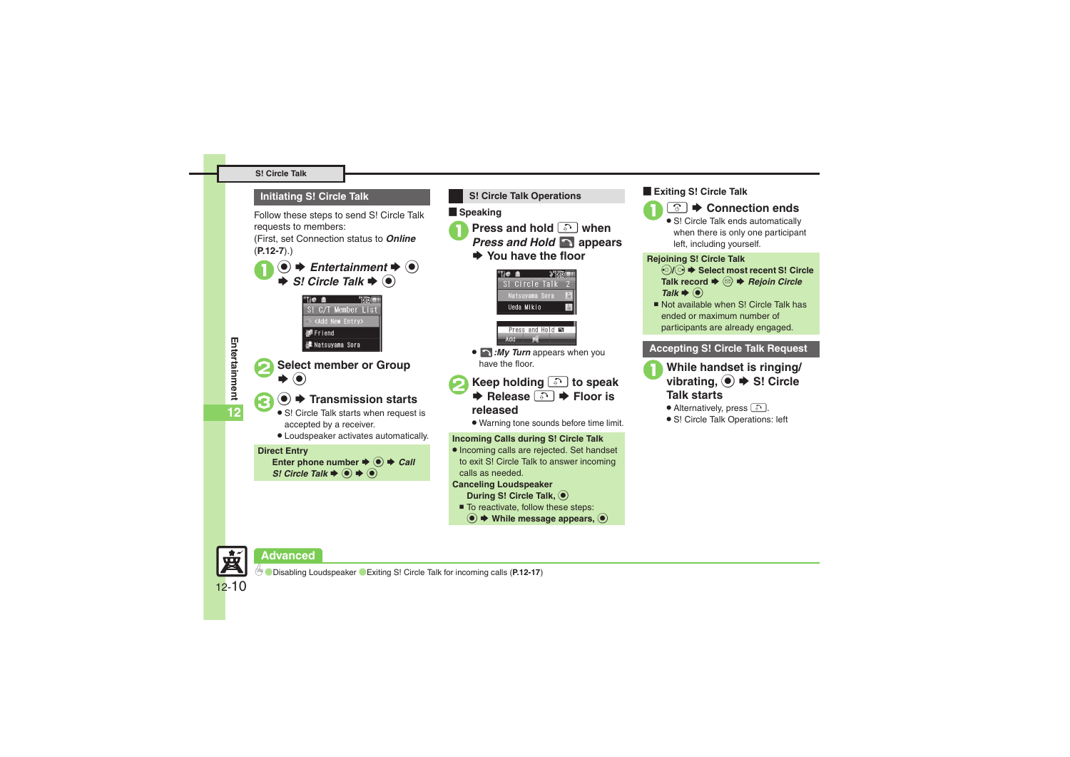#### **S! Circle Talk**

#### **Initiating S! Circle Talk**

Follow these steps to send S! Circle Talk requests to members:

(First, set Connection status to *Online* (**[P.12-7](#page-6-0)**).)

 $\bigcirc \rightarrow \bigcirc$  *Entertainment*  $\Rightarrow \bigcirc$ <br> $\Rightarrow$  *S! Circle Talk*  $\Rightarrow \bigcirc$ 





12-10

宴

### $\bullet$   $\bullet$  **Transmission starts**

• S! Circle Talk starts when request is accepted by a receiver.

. Loudspeaker activates automatically.

#### **Direct Entry**

Enter phone number  $\Rightarrow$   $\bullet$   $\Rightarrow$  *Call S! Circle Talk*  $\rightarrow$   $\odot$   $\rightarrow$   $\odot$ 

**Example Speaking** <sup>1</sup>**Press and hold** ! **when** *Press and Hold* **appears**   $\rightarrow$  **You have the floor** Tie a  $\frac{1}{2}$  is  $\frac{1}{2}$ S! Circle Talk 2 Natsuyama Sora Ueda Mikio Press and Hold **E** 

**S! Circle Talk Operations**

. *:My Turn* appears when you have the floor.

 $Add$ 

- **EXECTED HOLDING <u>A</u> Floor is Release a Floor** is
	- **released**
	- . Warning tone sounds before time limit.

#### **Incoming Calls during S! Circle Talk**

. Incoming calls are rejected. Set handset to exit S! Circle Talk to answer incoming calls as needed.

#### **Canceling Loudspeaker**

**During S! Circle Talk,**  $\bullet$ 

- To reactivate, follow these steps:
- **(●)**  $\blacklozenge$  **While message appears,**

#### [ **Exiting S! Circle Talk**



• S! Circle Talk ends automatically when there is only one participant left, including yourself.

#### **Rejoining S! Circle Talk**

- $\odot$ **/** $\odot$   $\blacklozenge$  **Select most recent S! Circle Talk record**  $\blacklozenge$  **<sup>** $\bigcirc$ **</sup>** *Rejoin Circle Talk*  $\blacklozenge$
- Not available when S! Circle Talk has ended or maximum number of participants are already engaged.

#### **Accepting S! Circle Talk Request**

- **While handset is ringing/ vibrating, ◆ S! Circle Talk starts**
	- Alternatively, press  $\Box$ .
	- . S! Circle Talk Operations: left

**Advanced**

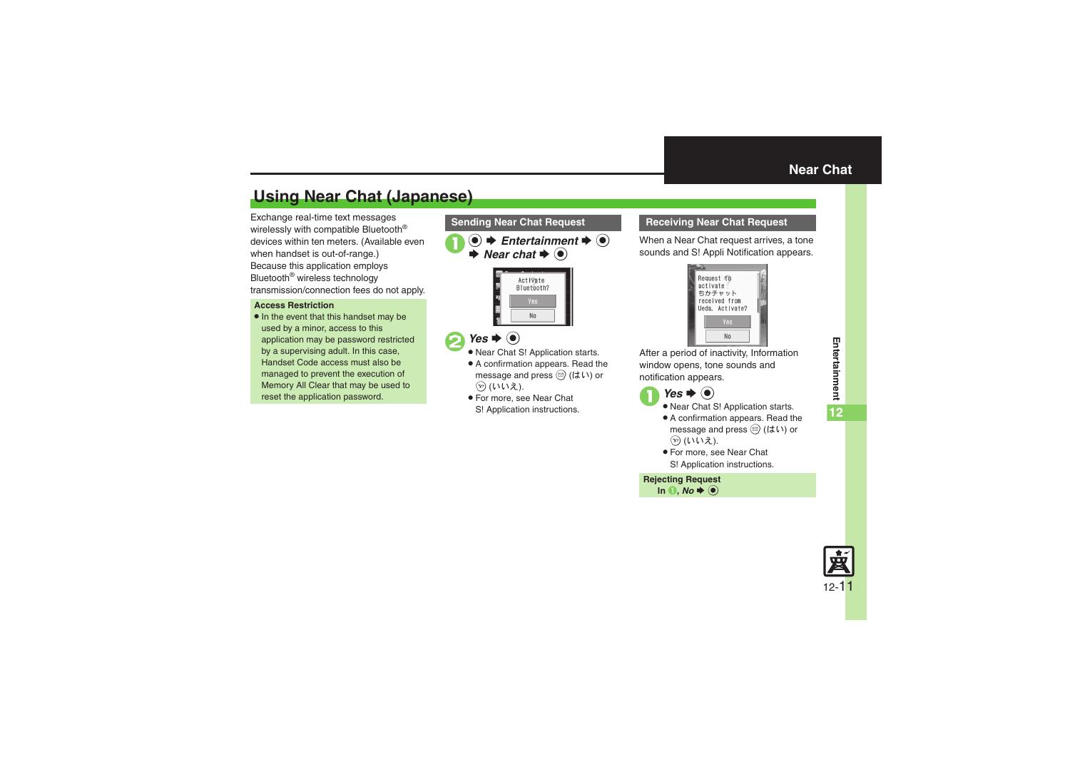# <span id="page-10-1"></span>**Using Near Chat (Japanese)**

Exchange real-time text messages wirelessly with compatible Bluetooth® devices within ten meters. (Available even when handset is out-of-range.) Because this application employs Bluetooth® wireless technology transmission/connection fees do not apply.

#### **Access Restriction**

• In the event that this handset may be used by a minor, access to this application may be password restricted by a supervising adult. In this case, Handset Code access must also be managed to prevent the execution of Memory All Clear that may be used to reset the application password.

 $\mathbf 0$  $\bullet$ ◆ Entertainment ◆ **●**  $\blacktriangleright$  *Near chat*  $\blacktriangleright$   $\odot$ 



# $\bullet$  Yes  $\bullet$   $\bullet$

- . Near Chat S! Application starts.
- . A confirmation appears. Read the message and press  $\circledcirc$  (はい) or → (いいえ).
- . For more, see Near Chat S! Application instructions.

#### **Sending Near Chat Request <b>Receiving Near Chat Request**

<span id="page-10-0"></span>When a Near Chat request arrives, a tone sounds and S! Appli Notification appears.



After a period of inactivity, Information window opens, tone sounds and notification appears.

- $\bigcirc$  *Yes*  $\bigcirc$ 
	- . Near Chat S! Application starts.
	- . A confirmation appears. Read the message and press  $\circledcirc$  (はい) or ② (いいえ).
	- . For more, see Near Chat S! Application instructions.

**Rejecting Request In 0**, *No*  $\blacklozenge$   $\odot$ 

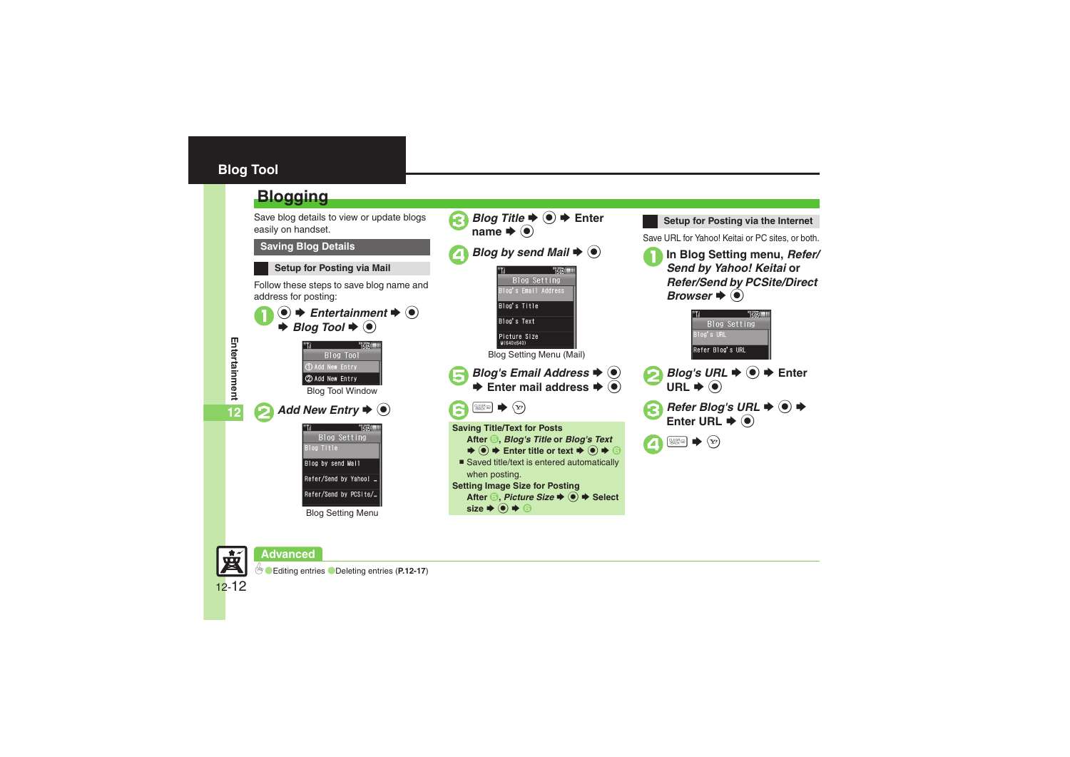## <span id="page-11-0"></span>**Blog Tool**

## <span id="page-11-1"></span>**Blogging**

Save blog details to view or update blogs easily on handset.

#### **Saving Blog Details**

### **Setup for Posting via Mail**

Follow these steps to save blog name and address for posting:





**Setup for Posting via the Internet** Save URL for Yahoo! Keitai or PC sites, or both. <sup>1</sup>**In Blog Setting menu,** *Refer/ Send by Yahoo! Keitai* **or**  *Refer/Send by PCSite/Direct Browser*  $\blacklozenge$   $\odot$ **TisosIIII** 







**12**



# **Advanced**

0([Editing entries](#page-16-5) ([Deleting entries](#page-16-6) (**[P.12-17](#page-16-5)**)

Blog Setting Menu

Blog by send Mail Refer/Send by Yahoo! ... Refer/Send by PCSite/...

12-12

要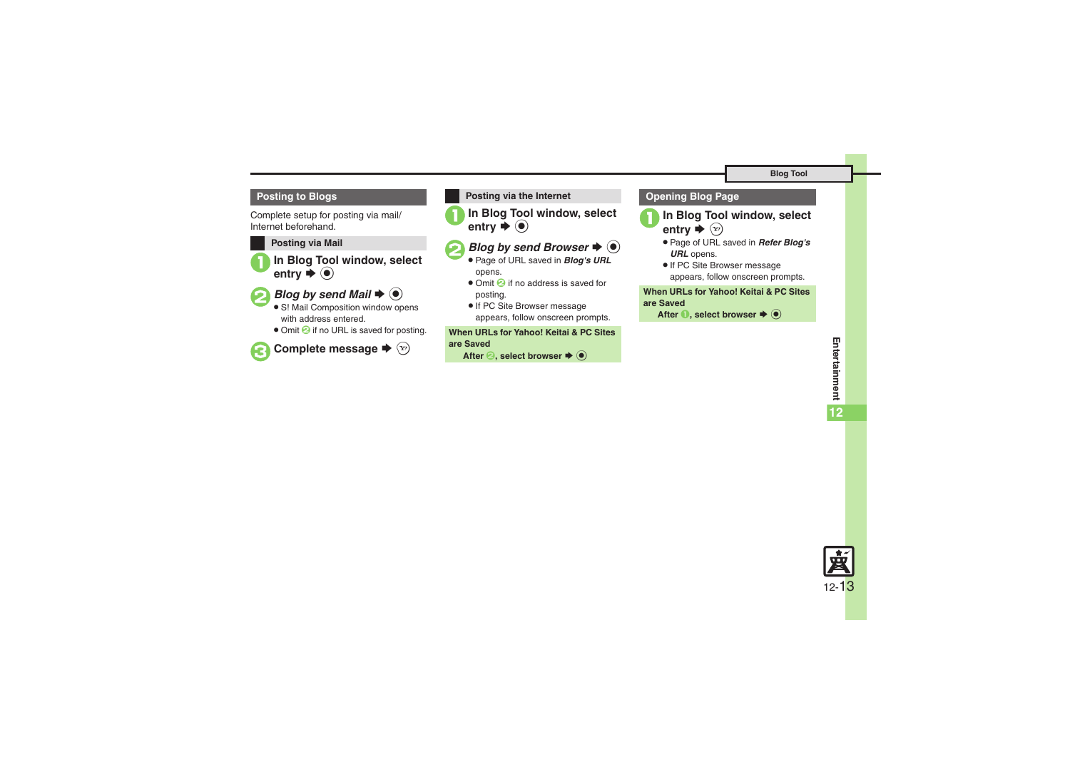#### **Posting to Blogs**

Complete setup for posting via mail/ Internet beforehand.

#### **Posting via Mail**

**In Blog Tool window, select**  $\blacktriangleright$   $\textcircled{\scriptsize{}}$ 



# **2** Blog by send Mail  $\rightarrow$  <sup>0</sup>

- S! Mail Composition window opens with address entered.
- Omit <sup>2</sup> if no URL is saved for posting.



**Posting via the Internet**

**In Blog Tool window, select**  $\blacktriangleright$   $\textcircled{\scriptsize{}}$ 

# **2***Blog by send Browser* ♦ ●

- . Page of URL saved in *Blog's URL* opens.
- Omit **O** if no address is saved for posting.
- **•** If PC Site Browser message appears, follow onscreen prompts.

**When URLs for Yahoo! Keitai & PC Sites** 

### **are Saved**

**After <sup>●</sup>, select browser ◆ ●** 

### **Opening Blog Page**

- **In Blog Tool window, select**  $\blacktriangleright$   $\odot$
- . Page of URL saved in *Refer Blog's URL* opens.
- **.** If PC Site Browser message appears, follow onscreen prompts.

#### **When URLs for Yahoo! Keitai & PC Sites are Saved**

**After ●, select browser ♦ ●** 

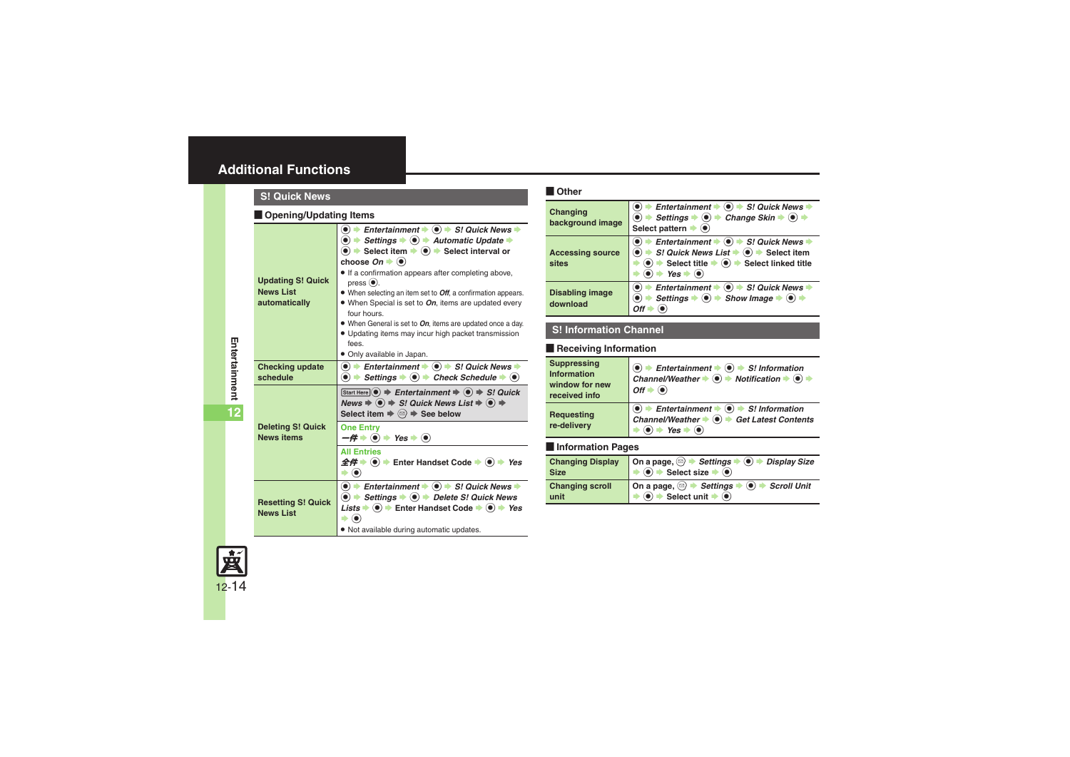### <span id="page-13-0"></span>**Additional Functions**

<span id="page-13-3"></span><span id="page-13-2"></span><span id="page-13-1"></span>

| <b>S! Quick News</b>                                          |                                                                                                                                                                                                                                                                                                                                                                                                                                                                                                                                                                                                                                                                             |
|---------------------------------------------------------------|-----------------------------------------------------------------------------------------------------------------------------------------------------------------------------------------------------------------------------------------------------------------------------------------------------------------------------------------------------------------------------------------------------------------------------------------------------------------------------------------------------------------------------------------------------------------------------------------------------------------------------------------------------------------------------|
| <b>Opening/Updating Items</b>                                 |                                                                                                                                                                                                                                                                                                                                                                                                                                                                                                                                                                                                                                                                             |
| <b>Updating S! Quick</b><br><b>News List</b><br>automatically | Entertainment $\Rightarrow$ ( $\bullet$ ) $\Rightarrow$ S! Quick News $\Rightarrow$<br>$\bullet$ $\bullet$ Settings $\bullet$ $\bullet$ $\bullet$ Automatic Update $\bullet$<br>$\bullet$ $\bullet$ Select item $\bullet$ $\bullet$ Select interval or<br>choose $On \rightarrow \bullet$<br>. If a confirmation appears after completing above,<br>$pres0(0)$ .<br>• When selecting an item set to <i>Off</i> , a confirmation appears.<br>• When Special is set to On, items are updated every<br>four hours.<br>• When General is set to On, items are updated once a day.<br>• Updating items may incur high packet transmission<br>fees.<br>· Only available in Japan. |
| <b>Checking update</b><br>schedule                            | $\bullet$ $\bullet$ Entertainment $\bullet$ $\bullet$ $\bullet$ S! Quick News $\bullet$<br>$\bullet$ $\bullet$ Settings $\bullet$ $\bullet$ Check Schedule $\bullet$ $\bullet$                                                                                                                                                                                                                                                                                                                                                                                                                                                                                              |
| <b>Deleting S! Quick</b><br><b>News items</b>                 | Start Here $\odot$ $\Rightarrow$ Entertainment $\Rightarrow$ $\odot$ $\Rightarrow$ S! Quick<br>News $\Rightarrow$ $\circledast$ $\Rightarrow$ S! Quick News List $\Rightarrow$ $\circledast$ $\Rightarrow$<br>Select item $\Rightarrow$ $\textcircled{=}$ $\Rightarrow$ See below<br><b>One Entry</b><br>$-\mathbf{\#}$ $\bullet$ $\bullet$ $\bullet$ Yes $\bullet$ $\bullet$<br><b>All Entries</b><br>$\hat{\mathcal{L}} \hat{H}$ $\Rightarrow$ ( $\bullet$ ) $\Rightarrow$ Enter Handset Code $\Rightarrow$ ( $\bullet$ ) $\Rightarrow$ Yes<br>$\blacktriangleright$ (0)                                                                                                  |
| <b>Resetting S! Quick</b><br><b>News List</b>                 | $\bullet$ $\bullet$ Entertainment $\bullet$ $\bullet$ $\bullet$ S! Quick News $\bullet$<br>$\bullet$ $\bullet$ Settings $\bullet$ $\bullet$ $\bullet$ Delete S! Quick News<br><i>Lists</i> $\Rightarrow$ ( $\bullet$ ) $\Rightarrow$ Enter Handset Code $\Rightarrow$ ( $\bullet$ ) $\Rightarrow$ Yes<br>$\blacktriangleright$ (e)<br>. Not available during automatic updates.                                                                                                                                                                                                                                                                                             |

#### [ **Other**

<span id="page-13-6"></span><span id="page-13-5"></span>

| Changing<br>background image       | Entertainment $\bullet$ ( $\bullet$ ) $\bullet$ S! Quick News<br>Settings $\Rightarrow$ ( $\bullet$ ) $\Rightarrow$ Change Skin $\Rightarrow$ ( $\bullet$ )<br>Select pattern $\blacktriangleright$ $\bullet$                                        |
|------------------------------------|------------------------------------------------------------------------------------------------------------------------------------------------------------------------------------------------------------------------------------------------------|
| <b>Accessing source</b><br>sites   | Entertainment $\Rightarrow$ ( $\bullet$ ) $\Rightarrow$ S! Quick News<br>S! Quick News List $\Rightarrow$ O $\Rightarrow$ Select item<br>Select title $\bigstar$ ( $\bullet$ ) $\bigstar$ Select linked title<br>$\rightarrow$ Yes $\rightarrow$ (0) |
| <b>Disabling image</b><br>download | Entertainment $\Rightarrow$ ( $\bullet$ ) $\Rightarrow$ S! Quick News<br>Settings $\Rightarrow$ ( $\bullet$ ) $\Rightarrow$ Show Image $\Rightarrow$ ( $\bullet$ ) $\Rightarrow$<br>∩ff                                                              |

#### <span id="page-13-7"></span>**S! Information Channel**

#### **Receiving Information**

<span id="page-13-8"></span>

| <b>Suppressing</b><br>Information<br>window for new<br>received info | Entertainment $\blacktriangleright \textcircled{e}$ $\blacktriangleright$ S! Information<br>Channel/Weather $\blacklozenge$ $\bigcirc$ $\blacktriangleright$ Notification $\blacktriangleright$ $\bigcirc$ $\blacktriangleright$<br>$Off \rightarrow$ |
|----------------------------------------------------------------------|-------------------------------------------------------------------------------------------------------------------------------------------------------------------------------------------------------------------------------------------------------|
| Requesting<br>re-delivery                                            | $\odot$ $\rightarrow$ Entertainment $\rightarrow$ $\odot$ $\rightarrow$ S! Information<br>Channel/Weather $\bullet$ $\bullet$ $\bullet$ Get Latest Contents<br>$\rightarrow$ Yes $\rightarrow$ ( $\bullet$ )                                          |
| <b>Information Pages</b>                                             |                                                                                                                                                                                                                                                       |

<span id="page-13-10"></span><span id="page-13-9"></span><span id="page-13-4"></span>

| <b>Changing Display</b><br><b>Size</b> | On a page, $\textcircled{3}$ $\Rightarrow$ Settings $\Rightarrow$ $\textcircled{4}$ $\Rightarrow$ Display Size                                             |
|----------------------------------------|------------------------------------------------------------------------------------------------------------------------------------------------------------|
| <b>Changing scroll</b><br>unit         | On a page, $\textcircled{3}$ $\rightarrow$ Settings $\rightarrow$ O $\rightarrow$ Scroll Unit<br>$\rightarrow$ O $\rightarrow$ Select unit $\rightarrow$ O |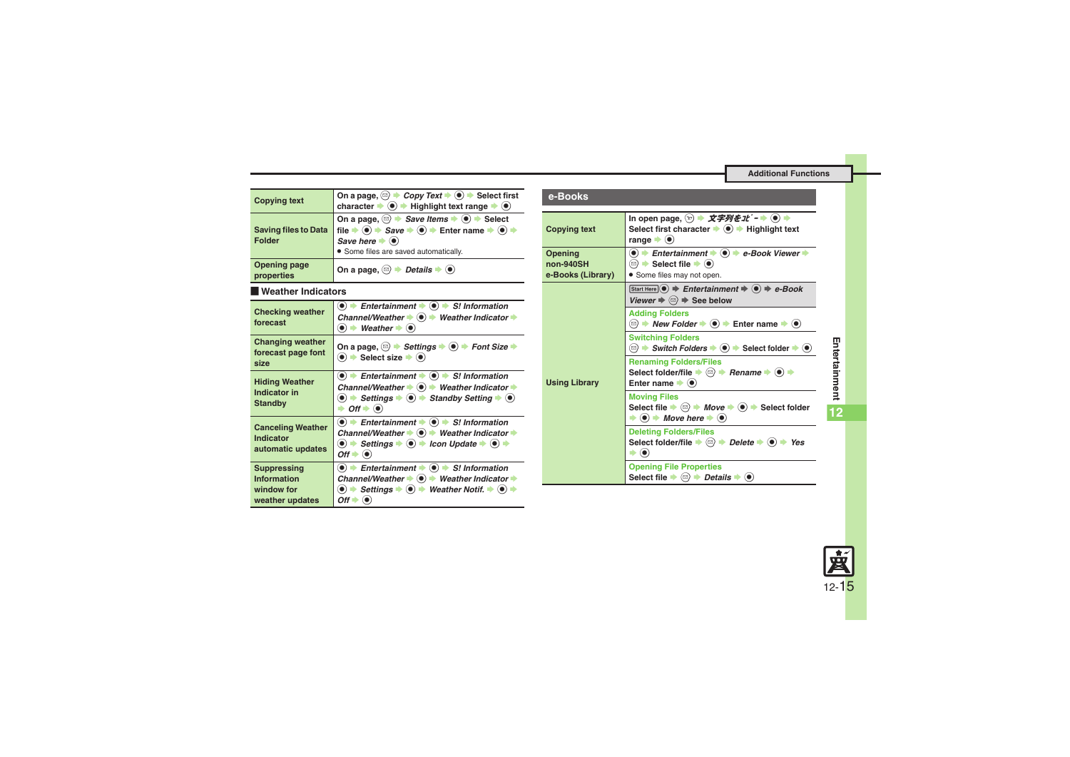#### **Additional Functions**

<span id="page-14-3"></span><span id="page-14-2"></span><span id="page-14-1"></span><span id="page-14-0"></span>

| <b>Copying text</b>                                                       | On a page, $\textcircled{=}$ $\rightarrow$ <i>Copy Text</i> $\rightarrow$ $\textcircled{=}$ Select first<br>character $\blacktriangleright$ ( $\blacklozenge$ ) $\blacktriangleright$ Highlight text range $\blacktriangleright$ ( $\blacklozenge$ )                                                                                                                      |
|---------------------------------------------------------------------------|---------------------------------------------------------------------------------------------------------------------------------------------------------------------------------------------------------------------------------------------------------------------------------------------------------------------------------------------------------------------------|
| <b>Saving files to Data</b><br><b>Folder</b>                              | On a page, $\textcircled{a}$ $\rightarrow$ Save Items $\rightarrow$ ( $\bullet$ ) $\rightarrow$ Select<br>file $\Rightarrow$ ( $\bullet$ ) $\Rightarrow$ Save $\Rightarrow$ ( $\bullet$ ) $\Rightarrow$ Enter name $\Rightarrow$ ( $\bullet$ ) $\Rightarrow$<br>Save here $\blacktriangleright$ ( $\blacklozenge$ )<br>· Some files are saved automatically.              |
| Opening page<br>properties                                                | On a page, $\textcircled{a}$ $\rightarrow$ <i>Details</i> $\rightarrow$ $\textcircled{e}$                                                                                                                                                                                                                                                                                 |
| Weather Indicators                                                        |                                                                                                                                                                                                                                                                                                                                                                           |
| <b>Checking weather</b><br>forecast                                       | $\langle \bullet \rangle$ $\Rightarrow$ Entertainment $\Rightarrow$ $\langle \bullet \rangle$ $\Rightarrow$ S! Information<br>Channel/Weather $\bullet$ $\bullet$ Weather Indicator $\bullet$<br>$\bullet$ $\bullet$ Weather $\bullet$ $\bullet$                                                                                                                          |
| <b>Changing weather</b><br>forecast page font<br>size                     | On a page, $\textcircled{3}$ $\blacktriangleright$ Settings $\blacktriangleright$ ( $\textcircled{4}$ ) $\blacktriangleright$ Font Size $\blacktriangleright$<br>$\left( \bullet \right)$ $\bullet$ Select size $\bullet$ $\left( \bullet \right)$                                                                                                                        |
| <b>Hiding Weather</b><br>Indicator in<br><b>Standby</b>                   | $\textcircled{\textbullet}$ $\textuparrow$ Entertainment $\textuparrowled{\textbullet}$ $\textuparrowled{\textbullet}$ S! Information<br>Channel/Weather $\bullet$ ( $\bullet$ ) $\bullet$ Weather Indicator $\bullet$<br>$\bullet$ $\bullet$ Settings $\bullet$ $\bullet$ $\bullet$ Standby Setting $\bullet$ $\bullet$<br>$\rightarrow$ Off $\rightarrow$ ( $\bullet$ ) |
| <b>Canceling Weather</b><br>Indicator<br>automatic updates                | $\langle \bullet \rangle$ $\Rightarrow$ Entertainment $\Rightarrow$ $\langle \bullet \rangle$ $\Rightarrow$ S! Information<br>Channel/Weather $\bullet$ $\bullet$ Weather Indicator $\bullet$<br>$\bullet$ $\bullet$ Settings $\bullet$ $\bullet$ $\bullet$ Icon Update $\bullet$ $\bullet$ $\bullet$<br>$Off \rightarrow \odot$                                          |
| <b>Suppressing</b><br><b>Information</b><br>window for<br>weather updates | $\bullet$ Fintertainment $\bullet$ $\bullet$ $\bullet$ S! Information<br>Channel/Weather $\bullet$ $\bullet$ $\bullet$ Weather Indicator $\bullet$<br>$\langle \bullet \rangle$ $\Rightarrow$ Settings $\Rightarrow$ $\langle \bullet \rangle$ $\Rightarrow$ Weather Notif. $\Rightarrow$ $\langle \bullet \rangle$ $\Rightarrow$<br>$Off \rightarrow \bullet$            |

<span id="page-14-6"></span><span id="page-14-5"></span><span id="page-14-4"></span>

| e-Books                                   |                                                                                                                                                                                                                                                                                                          |
|-------------------------------------------|----------------------------------------------------------------------------------------------------------------------------------------------------------------------------------------------------------------------------------------------------------------------------------------------------------|
| <b>Copying text</b>                       | In open page, $\mathcal{D}$ $\rightarrow$ $\mathcal{P}$ $\mathcal{P}$ $\mathcal{P}$ $\mathcal{E}$ $\mathcal{I}$ $\mathcal{E}$ $\rightarrow$ $\odot$ $\rightarrow$<br>Select first character $\rightarrow$ ( $\bullet$ ) $\rightarrow$ Highlight text<br>range $\blacktriangleright$ ( $\blacklozenge$ )  |
| Opening<br>non-940SH<br>e-Books (Library) | $\textcircled{\textbullet}$ $\blacktriangleright$ Entertainment $\blacktriangleright$ $\textcircled{\textbullet}$ $\blacktriangleright$ e-Book Viewer $\blacktriangleright$<br>$\textcircled{e}$ $\blacktriangleright$ Select file $\blacktriangleright$ $\textcircled{e}$<br>• Some files may not open. |
| <b>Using Library</b>                      | Start Here $\odot$ $\Rightarrow$ Entertainment $\Rightarrow$ $\odot$ $\Rightarrow$ e-Book<br>Viewer $\Rightarrow$ $\textcircled{a}$ $\Rightarrow$ See below                                                                                                                                              |
|                                           | <b>Adding Folders</b><br>$\textcircled{e}$ $\rightarrow$ New Folder $\rightarrow$ $\textcircled{e}$ $\rightarrow$ Enter name $\rightarrow$ $\textcircled{e}$                                                                                                                                             |
|                                           | <b>Switching Folders</b><br>◯ $\rightarrow$ Switch Folders $\rightarrow$ ( $\bullet$ ) $\rightarrow$ Select folder $\rightarrow$ ( $\bullet$ )                                                                                                                                                           |
|                                           | <b>Renaming Folders/Files</b><br>Select folder/file $\Rightarrow$ $\textcircled{a}$ $\Rightarrow$ Rename $\Rightarrow$ $\textcircled{a}$ $\Rightarrow$<br>Enter name $\blacktriangleright$ ( $\blacklozenge$ )                                                                                           |
|                                           | <b>Moving Files</b><br>Select file $\Rightarrow$ $\textcircled{2}$ $\Rightarrow$ Move $\Rightarrow$ $\textcircled{4}$ $\Rightarrow$ Select folder<br>$\bullet$ ( $\bullet$ ) $\bullet$ Move here $\bullet$ ( $\bullet$ )                                                                                 |
|                                           | <b>Deleting Folders/Files</b><br>Select folder/file $\Rightarrow$ $\textcircled{a}$ $\Rightarrow$ Delete $\Rightarrow$ $\textcircled{e}$ $\Rightarrow$ Yes                                                                                                                                               |
|                                           | <b>Opening File Properties</b><br>Select file $\blacktriangleright \textcircled{a}$ $\blacktriangleright$ <i>Details</i> $\blacktriangleright$ ( $\blacklozenge$ )                                                                                                                                       |

**12**

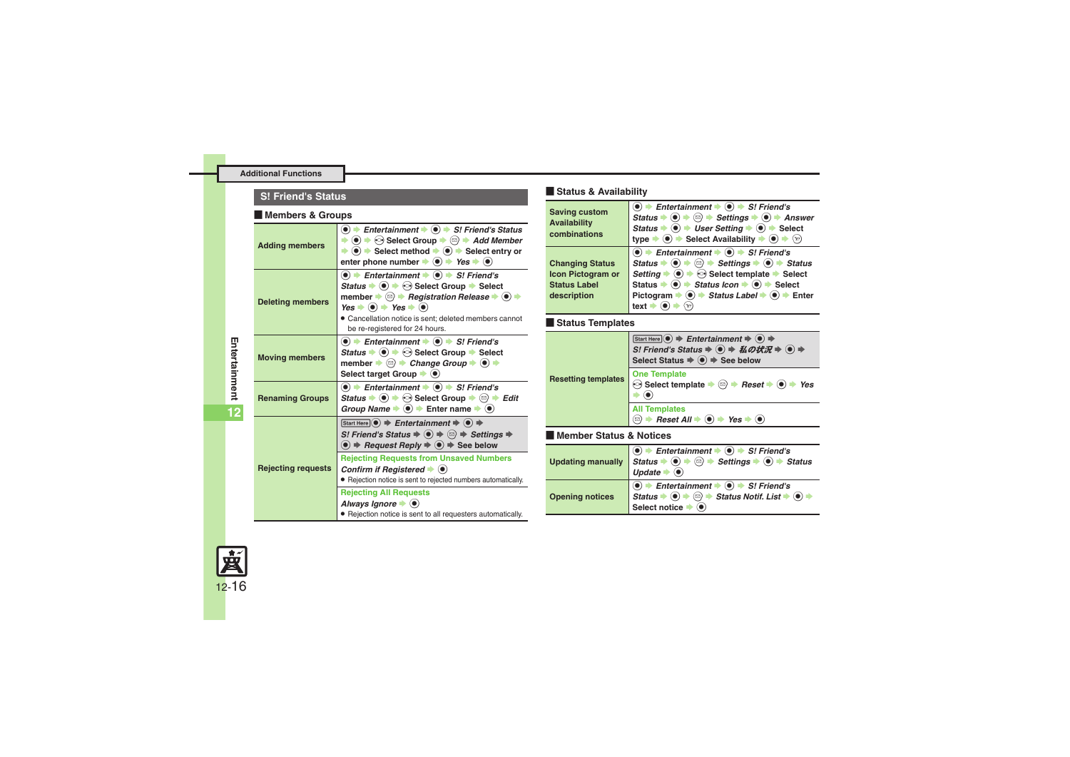#### **Additional Functions**

#### **S! Friend's Status**

#### [ **Members & Groups**

<span id="page-15-2"></span><span id="page-15-1"></span><span id="page-15-0"></span>

| <b>Adding members</b>     | $\bullet$ $\bullet$ Entertainment $\bullet$ $\bullet$ $\bullet$ S! Friend's Status<br>$\bullet$ $\bullet$ $\bullet$ Select Group $\bullet$ $\circledcirc$ $\bullet$ Add Member<br>$\Rightarrow$ (0) $\Rightarrow$ Select method $\Rightarrow$ (0) $\Rightarrow$ Select entry or<br>enter phone number $\blacktriangleright$ ( $\blacklozenge$ ) $\blacktriangleright$ Yes $\blacktriangleright$ ( $\blacklozenge$ ) |
|---------------------------|---------------------------------------------------------------------------------------------------------------------------------------------------------------------------------------------------------------------------------------------------------------------------------------------------------------------------------------------------------------------------------------------------------------------|
| <b>Deleting members</b>   | $\textcircled{\textbullet}$ $\textuparrow$ Entertainment $\textuparrowled{\textbullet}$ $\textcircled{\textbullet}$ S! Friend's<br>Status $\Rightarrow$ ( $\bullet$ ) $\Rightarrow$ $\odot$ Select Group $\Rightarrow$ Select<br>member → 2 → Registration Release → (●) →<br>$Yes + (•) + Yes + (•)$<br>· Cancellation notice is sent; deleted members cannot<br>be re-registered for 24 hours.                    |
| <b>Moving members</b>     | $\bullet$ $\bullet$ Entertainment $\bullet$ $\bullet$ $\bullet$ S! Friend's<br>Status $\Rightarrow$ ( $\bullet$ ) $\Rightarrow$ $\odot$ Select Group $\Rightarrow$ Select<br>member $\blacktriangleright$ ( $\textcircled{e}$ ) $\blacktriangleright$ Change Group $\blacktriangleright$ ( $\blacklozenge$ ) $\blacktriangleright$<br>Select target Group $\blacktriangleright$ ( $\blacklozenge$ )                 |
| <b>Renaming Groups</b>    | $\bullet$ $\rightarrow$ Entertainment $\rightarrow$ $\bullet$ $\rightarrow$ S! Friend's<br>Status $\Rightarrow$ ( $\bullet$ ) $\Rightarrow$ $\circ$ Select Group $\Rightarrow$ $\circ$ $\Rightarrow$ Edit<br>Group Name $\Rightarrow$ $\circledast$ $\Rightarrow$ Enter name $\Rightarrow$ $\circledast$                                                                                                            |
|                           | Start Here $\odot$ $\Rightarrow$ Entertainment $\Rightarrow$ $\odot$ $\Rightarrow$                                                                                                                                                                                                                                                                                                                                  |
|                           | S! Friend's Status $\Rightarrow$ $\textcircled{\ } \Rightarrow$ $\textcircled{\ } \Rightarrow$ Settings $\Rightarrow$<br>$\bullet$ $\Rightarrow$ Request Reply $\Rightarrow$ $\bullet$ $\Rightarrow$ See below                                                                                                                                                                                                      |
| <b>Rejecting requests</b> | <b>Rejecting Requests from Unsaved Numbers</b><br>Confirm if Registered $\blacktriangleright$ ( $\blacklozenge$ )<br>• Rejection notice is sent to rejected numbers automatically.                                                                                                                                                                                                                                  |

#### [ **Status & Availability**

| <b>Saving custom</b><br><b>Availability</b><br>combinations                       | $\textcircled{\textbullet}$ $\textuparrow$ Entertainment $\textuparrowled{\textbullet}$ $\textcircled{\textbullet}$ S! Friend's<br>Status $\Rightarrow$ $\circledcirc$ $\Rightarrow$ $\circledcirc$ $\Rightarrow$ Settings $\Rightarrow$ $\circledcirc$ $\Rightarrow$ Answer<br>Status $\Rightarrow$ ( $\bullet$ ) $\Rightarrow$ User Setting $\Rightarrow$ ( $\bullet$ ) $\Rightarrow$ Select<br>type $\Rightarrow$ ( $\bullet$ ) $\Rightarrow$ Select Availability $\Rightarrow$ ( $\bullet$ ) $\Rightarrow$ $\hat{y}$                                  |
|-----------------------------------------------------------------------------------|-----------------------------------------------------------------------------------------------------------------------------------------------------------------------------------------------------------------------------------------------------------------------------------------------------------------------------------------------------------------------------------------------------------------------------------------------------------------------------------------------------------------------------------------------------------|
| <b>Changing Status</b><br>Icon Pictogram or<br><b>Status Label</b><br>description | $\bullet$ $\bullet$ Entertainment $\bullet$ $\bullet$ $\bullet$ S! Friend's<br>Status $\Rightarrow$ ( $\bullet$ ) $\Rightarrow$ $\circledcirc$ $\Rightarrow$ Settings $\Rightarrow$ ( $\bullet$ ) $\Rightarrow$ Status<br>Setting $\bullet$ ( $\bullet$ ) $\bullet$ $\odot$ Select template $\bullet$ Select<br>Status $\Rightarrow$ ( $\bullet$ ) $\Rightarrow$ Status Icon $\Rightarrow$ ( $\bullet$ ) $\Rightarrow$ Select<br>Pictogram $\Rightarrow$ ( $\bullet$ ) $\Rightarrow$ Status Label $\Rightarrow$ ( $\bullet$ ) $\Rightarrow$ Enter<br>text |

#### [ **Status Templates**

<span id="page-15-7"></span><span id="page-15-6"></span><span id="page-15-5"></span>

| <b>Resetting templates</b> | Start Here $\odot$ $\Rightarrow$ Entertainment $\Rightarrow$ $\odot$ $\Rightarrow$<br>S! Friend's Status ⇒ ● ⇒ 私の状況 ⇒ ● ⇒<br>Select Status $\Rightarrow$ ( $\bullet$ ) $\Rightarrow$ See below                                                         |
|----------------------------|--------------------------------------------------------------------------------------------------------------------------------------------------------------------------------------------------------------------------------------------------------|
|                            | <b>One Template</b><br>$\odot$ Select template $\blacktriangleright$ ( $\odot$ ) $\blacktriangleright$ Reset $\blacktriangleright$ ( $\blacklozenge$ ) $\blacktriangleright$ Yes                                                                       |
|                            | <b>All Templates</b><br>$\textcircled{a}$ $\rightarrow$ Reset All $\rightarrow$ ( $\bullet$ ) $\rightarrow$ Yes $\rightarrow$ ( $\bullet$ )                                                                                                            |
| l Member Status & Notices  |                                                                                                                                                                                                                                                        |
| <b>Updating manually</b>   | $\bullet$ $\bullet$ Entertainment $\bullet$ $\bullet$ $\bullet$ S! Friend's<br>Status $\bullet$ ( $\bullet$ ) $\bullet$ $\circledcirc$ $\bullet$ Settings $\bullet$ ( $\bullet$ ) $\bullet$ Status<br>Update $\bullet$ ( $\bullet$ )                   |
| <b>Opening notices</b>     | $\bullet$ $\bullet$ Entertainment $\bullet$ $\bullet$ $\bullet$ S! Friend's<br>Status $\bullet$ ( $\bullet$ ) $\bullet$ $\circledcirc$ $\bullet$ Status Notif. List $\bullet$ ( $\bullet$ )<br>Select notice $\blacktriangleright$ ( $\blacklozenge$ ) |

<span id="page-15-4"></span><span id="page-15-3"></span>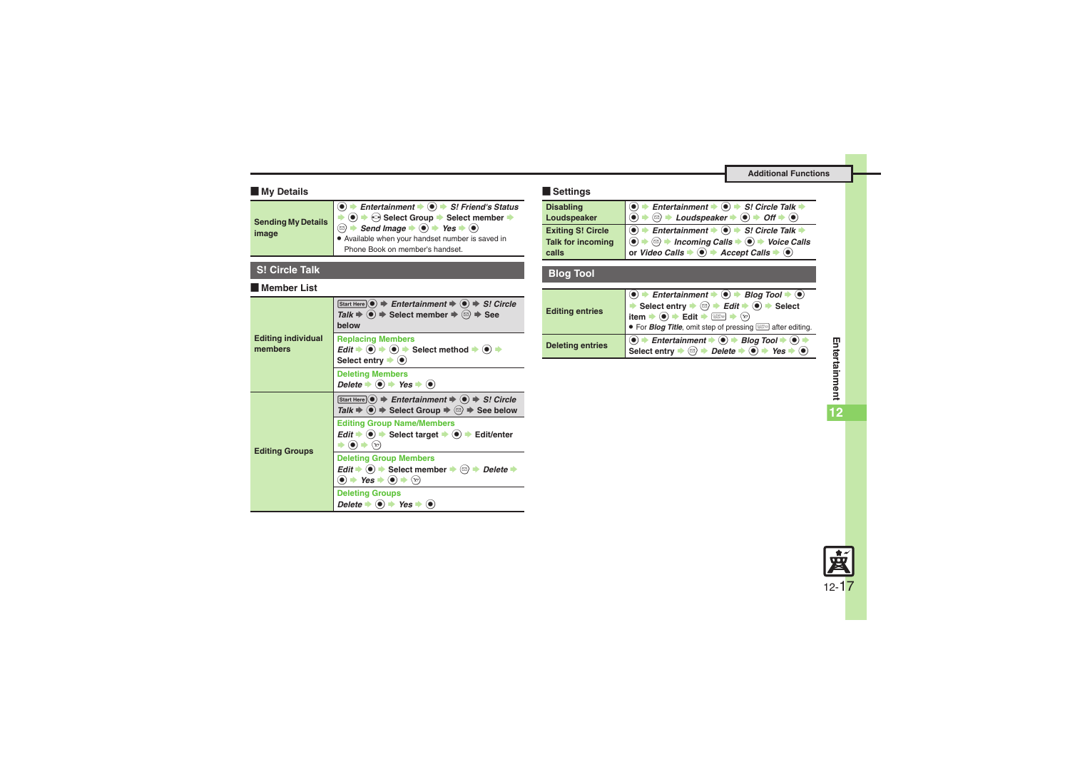#### [ **My Details**

<span id="page-16-0"></span>

| image | $\langle \bullet \rangle$ $\Rightarrow$ Entertainment $\Rightarrow$ $\langle \bullet \rangle$ $\Rightarrow$ S! Friend's Status<br>Available when your handset number is saved in |
|-------|----------------------------------------------------------------------------------------------------------------------------------------------------------------------------------|
|       | Phone Book on member's handset.                                                                                                                                                  |
|       |                                                                                                                                                                                  |

#### **S! Circle Talk**

#### [ **Member List**

<span id="page-16-2"></span><span id="page-16-1"></span>

| <b>Editing individual</b><br>members | Start Here $\left(\bullet\right) \Rightarrow$ Entertainment $\Rightarrow$ $\left(\bullet\right) \Rightarrow$ S! Circle<br>Talk $\Rightarrow$ ( $\bullet$ ) $\Rightarrow$ Select member $\Rightarrow$ $\textcircled{}}$ $\Rightarrow$ See<br>helow |
|--------------------------------------|---------------------------------------------------------------------------------------------------------------------------------------------------------------------------------------------------------------------------------------------------|
|                                      | <b>Replacing Members</b><br>$Edit \rightarrow \textcircled{\bullet} \Rightarrow \textcircled{\bullet} \Rightarrow \text{Select method} \Rightarrow \textcircled{\bullet} \Rightarrow$<br>Select entry $\blacktriangleright$ ( $\blacklozenge$ )   |
|                                      | <b>Deleting Members</b><br>Delete $\bullet$ ( $\bullet$ ) $\bullet$ Yes $\bullet$ ( $\bullet$ )                                                                                                                                                   |
| <b>Editing Groups</b>                | Start Here $\odot$ $\Rightarrow$ Entertainment $\Rightarrow$ $\odot$ $\Rightarrow$ S! Circle<br>Talk $\Rightarrow$ ( $\bullet$ ) $\Rightarrow$ Select Group $\Rightarrow$ ( $\textcircled{r}$ ) $\Rightarrow$ See below                           |
|                                      | <b>Editing Group Name/Members</b><br>$Edit \rightarrow (0) \rightarrow Select\ target \rightarrow (0) \rightarrow Edit/enter$<br>$(\mathbf{x})$                                                                                                   |
|                                      | <b>Deleting Group Members</b><br>Edit $\Rightarrow$ ( $\bullet$ ) $\Rightarrow$ Select member $\Rightarrow$ ( $\textcircled{r}$ ) $\Rightarrow$ Delete $\Rightarrow$<br>$\bullet$ $\bullet$ Yes $\bullet$ $\bullet$ $\bullet$ $\circ$             |
|                                      | <b>Deleting Groups</b><br>Delete $\bullet$ ( $\bullet$ ) $\bullet$ Yes $\bullet$ ( $\bullet$ )                                                                                                                                                    |

#### [ **Settings**

<span id="page-16-4"></span><span id="page-16-3"></span>

| <b>Disabling</b>         | Entertainment $\Rightarrow$ ( $\bullet$ ) $\Rightarrow$ S! Circle Talk $\Rightarrow$                                                  |
|--------------------------|---------------------------------------------------------------------------------------------------------------------------------------|
| Loudspeaker              | $\textcircled{e}$ $\rightarrow$ Loudspeaker $\rightarrow$ $\textcircled{e}$ $\rightarrow$ Off $\rightarrow$ $\textcircled{e}$         |
| <b>Exiting S! Circle</b> | Entertainment $\bullet$ $\bullet$ $\bullet$ S! Circle Talk $\bullet$                                                                  |
| <b>Talk for incoming</b> | $\Rightarrow$ $\textcircled{+}$ Incoming Calls $\Rightarrow$ $\textcircled{+}$ Voice Calls                                            |
| calls                    | or Video Calls $\blacktriangleright$ ( $\blacklozenge$ ) $\blacktriangleright$ Accept Calls $\blacktriangleright$ ( $\blacklozenge$ ) |

### **Blog Tool**

<span id="page-16-6"></span><span id="page-16-5"></span>

| <b>Editing entries</b>  | $\bullet$ + Entertainment $\bullet$ $\bullet$ + Blog Tool $\bullet$ $\bullet$<br>Select entry $\Rightarrow$ $\overrightarrow{E}$ dit $\Rightarrow$ $\overrightarrow{O}$ $\Rightarrow$ Select<br><b>item → ● → Edit → and A</b> $\circledcirc$ → $\circledcirc$<br>• For <b>Blog Title</b> , omit step of pressing <b>and A</b> after editing.                                           |
|-------------------------|-----------------------------------------------------------------------------------------------------------------------------------------------------------------------------------------------------------------------------------------------------------------------------------------------------------------------------------------------------------------------------------------|
| <b>Deleting entries</b> | $\textcircled{\textcolor{blue}{\bullet}}$ $\textup{E}$ ntertainment $\textup{\textcolor{blue}{\bullet}}$ $\textcircled{\textcolor{blue}{\bullet}}$ $\textup{Blog Tool}\textup{\textcolor{blue}{\bullet}}$ $\textup{\textcolor{blue}{\bullet}}$<br>Select entry $\Rightarrow$ $\textcircled{=}$ $\Rightarrow$ Delete $\Rightarrow$ $\textcircled{+}$ Yes $\Rightarrow$ $\textcircled{+}$ |